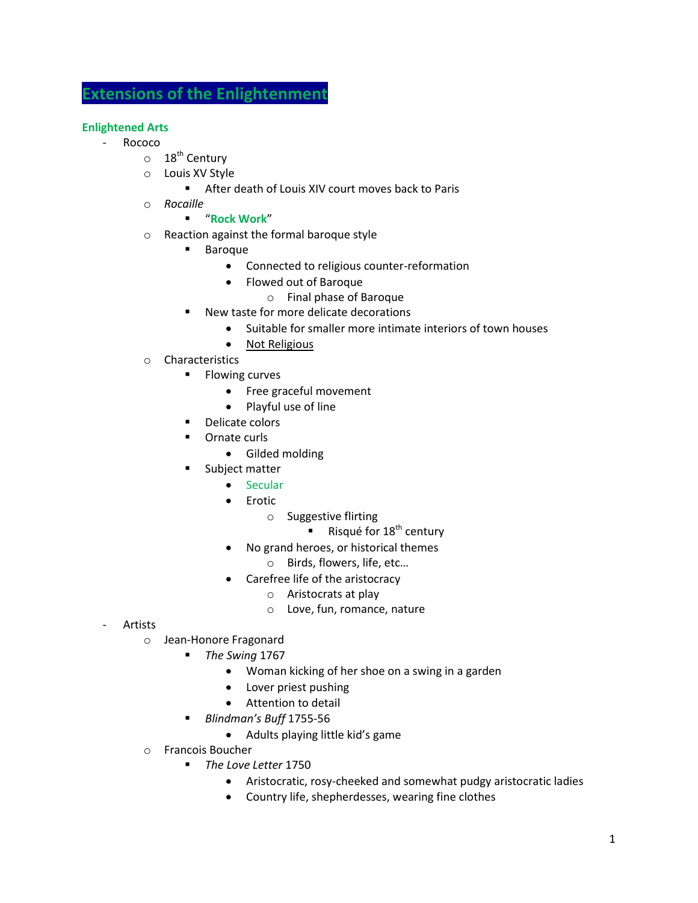# **Extensions of the Enlightenment**

# **Enlightened Arts**

- **Rococo** 
	- $\circ$  18<sup>th</sup> Century
	- o Louis XV Style
		- After death of Louis XIV court moves back to Paris
	- o *Rocaille*

### "**Rock Work**"

- o Reaction against the formal baroque style
	- **Baroque** 
		- Connected to religious counter-reformation
		- Flowed out of Baroque
			- o Final phase of Baroque
	- New taste for more delicate decorations
		- Suitable for smaller more intimate interiors of town houses
		- Not Religious
- o Characteristics
	- **Flowing curves** 
		- Free graceful movement
		- Playful use of line
	- **•** Delicate colors
	- **•** Ornate curls
		- Gilded molding
	- **Subject matter** 
		- Secular
		- Erotic
			- o Suggestive flirting
				- Risqué for  $18^{th}$  century
		- No grand heroes, or historical themes
			- o Birds, flowers, life, etc…
		- Carefree life of the aristocracy
			- o Aristocrats at play
			- o Love, fun, romance, nature

- **Artists** 
	- o Jean-Honore Fragonard
		- *The Swing* 1767
			- Woman kicking of her shoe on a swing in a garden
			- Lover priest pushing
			- Attention to detail
		- *Blindman's Buff* 1755-56
			- Adults playing little kid's game
	- o Francois Boucher
		- *The Love Letter* 1750
			- Aristocratic, rosy-cheeked and somewhat pudgy aristocratic ladies
			- Country life, shepherdesses, wearing fine clothes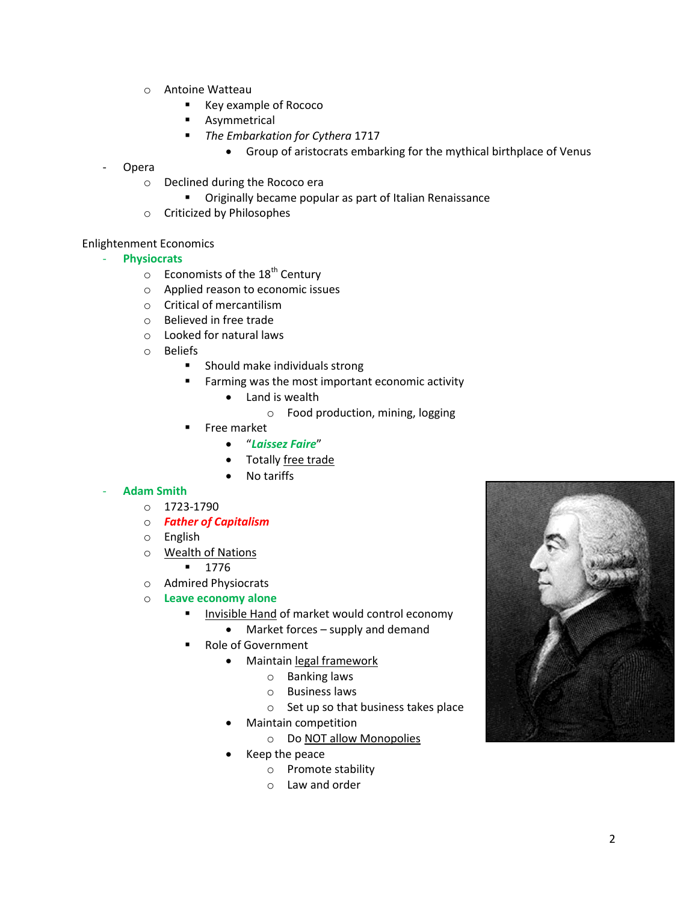- o Antoine Watteau
	- Key example of Rococo
	- **Asymmetrical**
	- *The Embarkation for Cythera* 1717
		- Group of aristocrats embarking for the mythical birthplace of Venus
- **Opera** 
	- o Declined during the Rococo era
		- **Theory Complet Compular as part of Italian Renaissance**
	- o Criticized by Philosophes

#### Enlightenment Economics

- **Physiocrats**
	- $\circ$  Economists of the 18<sup>th</sup> Century
	- o Applied reason to economic issues
	- o Critical of mercantilism
	- o Believed in free trade
	- o Looked for natural laws
	- o Beliefs
		- **Should make individuals strong**
		- **Farming was the most important economic activity** 
			- Land is wealth
				- o Food production, mining, logging
		- Free market
			- "*Laissez Faire*"
			- Totally free trade
			- No tariffs

## - **Adam Smith**

- o 1723-1790
- o *Father of Capitalism*
- o English
- o Wealth of Nations
	- 1776
- o Admired Physiocrats
- o **Leave economy alone**
	- Invisible Hand of market would control economy
		- Market forces supply and demand
	- Role of Government
		- Maintain legal framework
			- o Banking laws
			- o Business laws
			- o Set up so that business takes place
		- Maintain competition
			- o Do NOT allow Monopolies
		- Keep the peace
			- o Promote stability
			- o Law and order